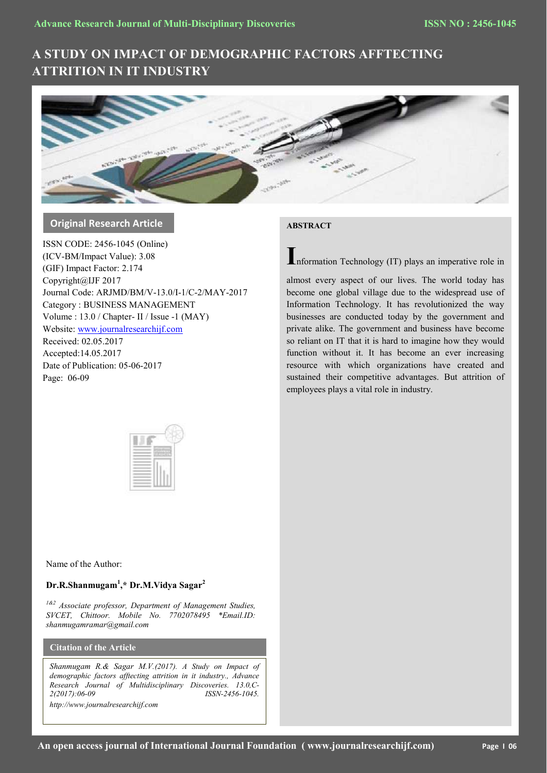# **A STUDY ON IMPACT OF DEMOGRAPHIC FACTORS AFFTECTING ATTRITION IN IT INDUSTRY**



# **Original Research Article**

ISSN CODE: 2456-1045 (Online) (ICV-BM/Impact Value): 3.08 (GIF) Impact Factor: 2.174 Copyright@IJF 2017 Journal Code: ARJMD/BM/V-13.0/I-1/C-2/MAY-2017 Category : BUSINESS MANAGEMENT Volume : 13.0 / Chapter- II / Issue -1 (MAY) Website[: www.journalresearchijf.com](http://www.journalresearchijf.com/) Received: 02.05.2017 Accepted:14.05.2017 Date of Publication: 05-06-2017 Page: 06-09

# **ABSTRACT**

**I**nformation Technology (IT) plays an imperative role in

almost every aspect of our lives. The world today has become one global village due to the widespread use of Information Technology. It has revolutionized the way businesses are conducted today by the government and private alike. The government and business have become so reliant on IT that it is hard to imagine how they would function without it. It has become an ever increasing resource with which organizations have created and sustained their competitive advantages. But attrition of employees plays a vital role in industry.



Name of the Author:

# **Dr.R.Shanmugam<sup>1</sup> ,\* Dr.M.Vidya Sagar<sup>2</sup>**

*1&2 Associate professor, Department of Management Studies, SVCET, Chittoor. Mobile No. 7702078495 \*Email.ID: shanmugamramar@gmail.com*

**Citation of the Article**

*Shanmugam R.& Sagar M.V.(2017). A Study on Impact of demographic factors afftecting attrition in it industry., Advance Research Journal of Multidisciplinary Discoveries. 13.0,C-2(2017):06-09 ISSN-2456-1045. http://www.journalresearchijf.com***e;**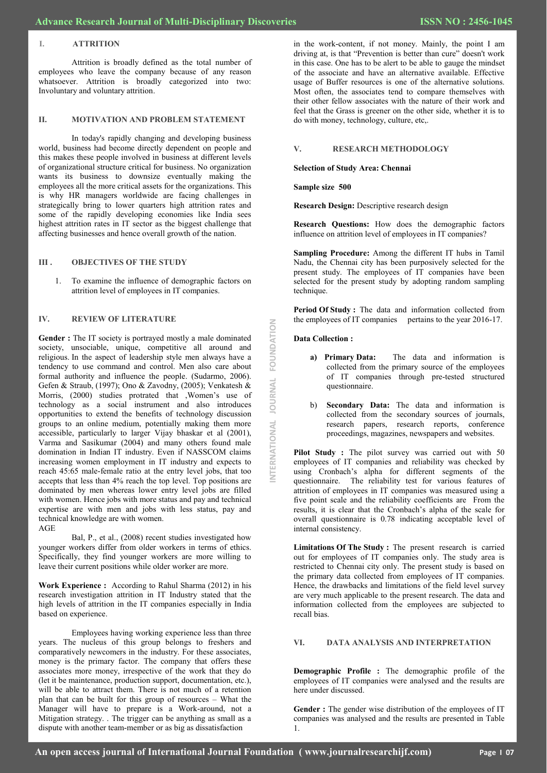#### **I. ATTRITION**

Attrition is broadly defined as the total number of employees who leave the company because of any reason whatsoever. Attrition is broadly categorized into two: Involuntary and voluntary attrition.

#### **II. MOTIVATION AND PROBLEM STATEMENT**

In today's rapidly changing and developing business world, business had become directly dependent on people and this makes these people involved in business at different levels of organizational structure critical for business. No organization wants its business to downsize eventually making the employees all the more critical assets for the organizations. This is why HR managers worldwide are facing challenges in strategically bring to lower quarters high attrition rates and some of the rapidly developing economies like India sees highest attrition rates in IT sector as the biggest challenge that affecting businesses and hence overall growth of the nation.

#### **III . OBJECTIVES OF THE STUDY**

1. To examine the influence of demographic factors on attrition level of employees in IT companies.

### **IV. REVIEW OF LITERATURE**

**Gender :** The IT society is portrayed mostly a male dominated society, unsociable, unique, competitive all around and religious. In the aspect of leadership style men always have a tendency to use command and control. Men also care about formal authority and influence the people. (Sudarmo, 2006). Gefen & Straub, (1997); Ono & Zavodny, (2005); Venkatesh & Morris, (2000) studies protrated that ,Women's use of technology as a social instrument and also introduces opportunities to extend the benefits of technology discussion groups to an online medium, potentially making them more accessible, particularly to larger Vijay bhaskar et al (2001), Varma and Sasikumar (2004) and many others found male domination in Indian IT industry. Even if NASSCOM claims increasing women employment in IT industry and expects to reach 45:65 male-female ratio at the entry level jobs, that too accepts that less than 4% reach the top level. Top positions are dominated by men whereas lower entry level jobs are filled with women. Hence jobs with more status and pay and technical expertise are with men and jobs with less status, pay and technical knowledge are with women. AGE

Bal, P., et al., (2008) recent studies investigated how younger workers differ from older workers in terms of ethics. Specifically, they find younger workers are more willing to leave their current positions while older worker are more.

**Work Experience :** According to Rahul Sharma (2012) in his research investigation attrition in IT Industry stated that the high levels of attrition in the IT companies especially in India based on experience.

Employees having working experience less than three years. The nucleus of this group belongs to freshers and comparatively newcomers in the industry. For these associates, money is the primary factor. The company that offers these associates more money, irrespective of the work that they do (let it be maintenance, production support, documentation, etc.), will be able to attract them. There is not much of a retention plan that can be built for this group of resources – What the Manager will have to prepare is a Work-around, not a Mitigation strategy. . The trigger can be anything as small as a dispute with another team-member or as big as dissatisfaction

in the work-content, if not money. Mainly, the point I am driving at, is that "Prevention is better than cure" doesn't work in this case. One has to be alert to be able to gauge the mindset of the associate and have an alternative available. Effective usage of Buffer resources is one of the alternative solutions. Most often, the associates tend to compare themselves with their other fellow associates with the nature of their work and feel that the Grass is greener on the other side, whether it is to do with money, technology, culture, etc,.

## **V. RESEARCH METHODOLOGY**

**Selection of Study Area: Chennai**

**Sample size 500**

**Research Design:** Descriptive research design

**Research Questions:** How does the demographic factors influence on attrition level of employees in IT companies?

**Sampling Procedure:** Among the different IT hubs in Tamil Nadu, the Chennai city has been purposively selected for the present study. The employees of IT companies have been selected for the present study by adopting random sampling technique.

**Period Of Study :** The data and information collected from the employees of IT companies pertains to the year 2016-17.

#### **Data Collection :**

**INTERNATIONAL JOURNAL FOUNDATION**

ERNATIONAL JOURNAL

FOUNDATION

- **a) Primary Data:** The data and information is collected from the primary source of the employees of IT companies through pre-tested structured questionnaire.
- b) **Secondary Data:** The data and information is collected from the secondary sources of journals, research papers, research reports, conference proceedings, magazines, newspapers and websites.

**Pilot Study** : The pilot survey was carried out with 50 employees of IT companies and reliability was checked by using Cronbach's alpha for different segments of the questionnaire. The reliability test for various features of attrition of employees in IT companies was measured using a five point scale and the reliability coefficients are From the results, it is clear that the Cronbach's alpha of the scale for overall questionnaire is 0.78 indicating acceptable level of internal consistency.

**Limitations Of The Study :** The present research is carried out for employees of IT companies only. The study area is restricted to Chennai city only. The present study is based on the primary data collected from employees of IT companies. Hence, the drawbacks and limitations of the field level survey are very much applicable to the present research. The data and information collected from the employees are subjected to recall bias.

#### **VI. DATA ANALYSIS AND INTERPRETATION**

**Demographic Profile :** The demographic profile of the employees of IT companies were analysed and the results are here under discussed.

**Gender :** The gender wise distribution of the employees of IT companies was analysed and the results are presented in Table 1.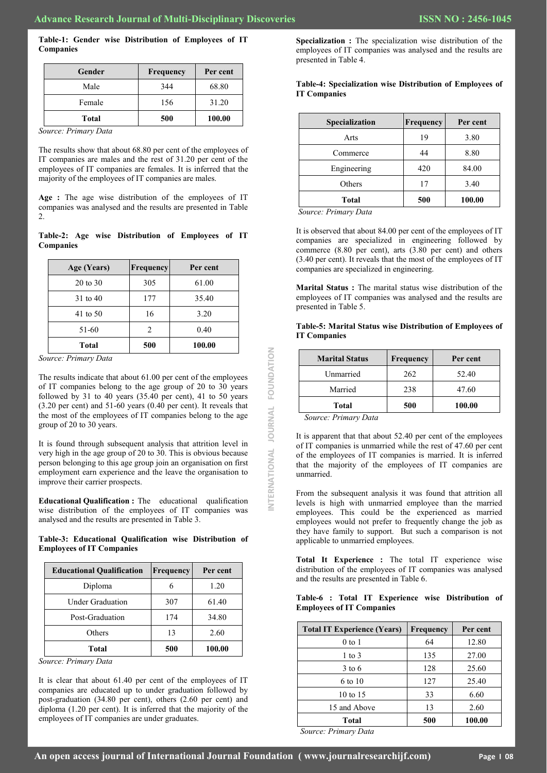**Table-1: Gender wise Distribution of Employees of IT Companies**

| Gender | Frequency | Per cent |
|--------|-----------|----------|
| Male   | 344       | 68.80    |
| Female | 156       | 31.20    |
| Total  | 500       | 100.00   |

*Source: Primary Data*

The results show that about 68.80 per cent of the employees of IT companies are males and the rest of 31.20 per cent of the employees of IT companies are females. It is inferred that the majority of the employees of IT companies are males.

**Age :** The age wise distribution of the employees of IT companies was analysed and the results are presented in Table  $\mathfrak{D}$ 

#### **Table-2: Age wise Distribution of Employees of IT Companies**

| Age (Years)         | Frequency | Per cent |
|---------------------|-----------|----------|
| $20 \text{ to } 30$ | 305       | 61.00    |
| 31 to 40            | 177       | 35.40    |
| 41 to 50            | 16        | 3.20     |
| 51-60               | 2         | 0.40     |
| <b>Total</b>        | 500       | 100.00   |

| <b>Educational Qualification</b> | Frequency | Per cent |
|----------------------------------|-----------|----------|
| Diploma                          | 6         | 1.20     |
| <b>Under Graduation</b>          | 307       | 61.40    |
| Post-Graduation                  | 174       | 34.80    |
| Others                           | 13        | 2.60     |
| <b>Total</b>                     | 500       | 100.00   |

**Specialization :** The specialization wise distribution of the employees of IT companies was analysed and the results are presented in Table 4.

#### **Table-4: Specialization wise Distribution of Employees of IT Companies**

| Specialization | Frequency | Per cent |
|----------------|-----------|----------|
| Arts           | 19        | 3.80     |
| Commerce       | 44        | 8.80     |
| Engineering    | 420       | 84.00    |
| Others         | 17        | 3.40     |
| <b>Total</b>   | 500       | 100.00   |

*Source: Primary Data*

It is observed that about 84.00 per cent of the employees of IT companies are specialized in engineering followed by commerce (8.80 per cent), arts (3.80 per cent) and others (3.40 per cent). It reveals that the most of the employees of IT companies are specialized in engineering.

**Marital Status :** The marital status wise distribution of the employees of IT companies was analysed and the results are presented in Table 5.

**Table-5: Marital Status wise Distribution of Employees of IT Companies**

| <b>Marital Status</b>                             | Frequency | Per cent |
|---------------------------------------------------|-----------|----------|
| Unmarried                                         | 262       | 52.40    |
| Married                                           | 238       | 47.60    |
| Total                                             | 500       | 100.00   |
| $S_{\alpha\mu\nu\rho\sigma\sigma}$ , Driman, Data |           |          |

#### **Table-6 : Total IT Experience wise Distribution of Employees of IT Companies**

| Source: Primary Data                                                                                                                                                                                                                                                                                       |                                                                         |          |                                                                                                                                                                                                                                                                        |           |                       |
|------------------------------------------------------------------------------------------------------------------------------------------------------------------------------------------------------------------------------------------------------------------------------------------------------------|-------------------------------------------------------------------------|----------|------------------------------------------------------------------------------------------------------------------------------------------------------------------------------------------------------------------------------------------------------------------------|-----------|-----------------------|
|                                                                                                                                                                                                                                                                                                            |                                                                         |          | <b>Marital Status</b>                                                                                                                                                                                                                                                  | Frequency | Per cent              |
| The results indicate that about 61.00 per cent of the employees                                                                                                                                                                                                                                            |                                                                         |          | Unmarried                                                                                                                                                                                                                                                              | 262       | 52.40                 |
|                                                                                                                                                                                                                                                                                                            | FOUNDATION<br>of IT companies belong to the age group of 20 to 30 years |          | Married                                                                                                                                                                                                                                                                | 238       | 47.60                 |
| followed by 31 to 40 years (35.40 per cent), 41 to 50 years<br>$(3.20 \text{ per cent})$ and $51-60 \text{ years}$ $(0.40 \text{ per cent})$ . It reveals that                                                                                                                                             |                                                                         |          | <b>Total</b>                                                                                                                                                                                                                                                           | 500       | 100.00                |
| the most of the employees of IT companies belong to the age<br>group of 20 to 30 years.                                                                                                                                                                                                                    |                                                                         |          | Source: Primary Data                                                                                                                                                                                                                                                   |           |                       |
| It is found through subsequent analysis that attrition level in<br>very high in the age group of 20 to 30. This is obvious because<br>person belonging to this age group join an organisation on first<br>employment earn experience and the leave the organisation to<br>improve their carrier prospects. |                                                                         |          | It is apparent that that about 52.40 per cent of the employees<br>of IT companies is unmarried while the rest of 47.60 per cent<br>of the employees of IT companies is married. It is inferred<br>that the majority of the employees of IT companies are<br>unmarried. |           |                       |
|                                                                                                                                                                                                                                                                                                            |                                                                         |          | From the subsequent analysis it was found that attrition all<br>levels is high with unmarried employee than the married<br>employees. This could be the experienced as married                                                                                         |           |                       |
| Educational Qualification : The educational qualification<br>wise distribution of the employees of IT companies was<br>analysed and the results are presented in Table 3.<br>Table-3: Educational Qualification wise Distribution of                                                                       |                                                                         |          | employees would not prefer to frequently change the job as<br>they have family to support. But such a comparison is not<br>applicable to unmarried employees.                                                                                                          |           |                       |
| <b>Employees of IT Companies</b><br><b>Educational Qualification</b>                                                                                                                                                                                                                                       | Frequency                                                               | Per cent | Total It Experience : The total IT experience wise<br>distribution of the employees of IT companies was analysed                                                                                                                                                       |           |                       |
| Diploma                                                                                                                                                                                                                                                                                                    | 6                                                                       | 1.20     | and the results are presented in Table 6.                                                                                                                                                                                                                              |           |                       |
| <b>Under Graduation</b>                                                                                                                                                                                                                                                                                    | 307                                                                     | 61.40    | Table-6 : Total IT Experience wise Distribution of                                                                                                                                                                                                                     |           |                       |
| Post-Graduation                                                                                                                                                                                                                                                                                            | 174                                                                     | 34.80    | <b>Employees of IT Companies</b>                                                                                                                                                                                                                                       |           |                       |
| Others                                                                                                                                                                                                                                                                                                     | 13                                                                      | 2.60     | <b>Total IT Experience (Years)</b>                                                                                                                                                                                                                                     | Frequency | Per cent              |
|                                                                                                                                                                                                                                                                                                            |                                                                         |          | $0$ to $1$                                                                                                                                                                                                                                                             | 64        | 12.80                 |
| <b>Total</b>                                                                                                                                                                                                                                                                                               | 500                                                                     | 100.00   | $1$ to $3$                                                                                                                                                                                                                                                             | 135       |                       |
| Source: Primary Data                                                                                                                                                                                                                                                                                       |                                                                         |          | $3$ to 6                                                                                                                                                                                                                                                               | 128       | 27.00<br>25.60        |
| It is clear that about 61.40 per cent of the employees of IT                                                                                                                                                                                                                                               |                                                                         |          | 6 to 10                                                                                                                                                                                                                                                                | 127       |                       |
| companies are educated up to under graduation followed by                                                                                                                                                                                                                                                  |                                                                         |          | 10 to 15                                                                                                                                                                                                                                                               | 33        |                       |
| post-graduation (34.80 per cent), others (2.60 per cent) and<br>diploma (1.20 per cent). It is inferred that the majority of the<br>employees of IT companies are under graduates.                                                                                                                         |                                                                         |          | 15 and Above                                                                                                                                                                                                                                                           | 13        | 25.40<br>6.60<br>2.60 |